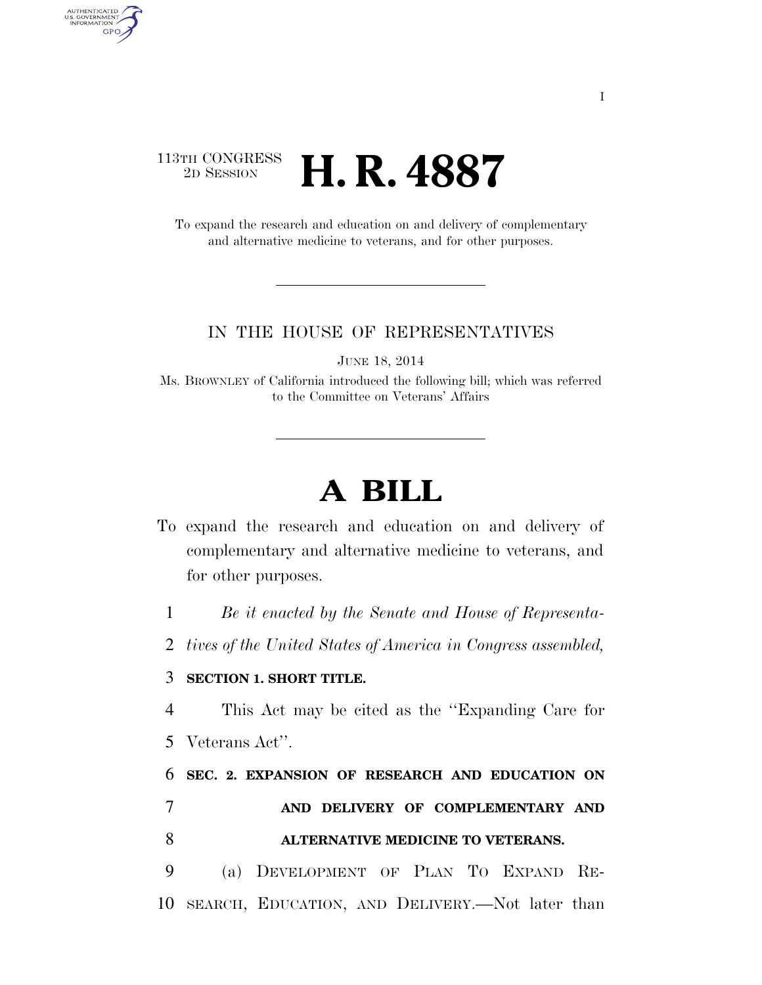## 113TH CONGRESS <sup>2D SESSION</sup> **H. R. 4887**

AUTHENTICATED<br>U.S. GOVERNMENT<br>INFORMATION **GPO** 

> To expand the research and education on and delivery of complementary and alternative medicine to veterans, and for other purposes.

## IN THE HOUSE OF REPRESENTATIVES

JUNE 18, 2014

Ms. BROWNLEY of California introduced the following bill; which was referred to the Committee on Veterans' Affairs

## **A BILL**

To expand the research and education on and delivery of complementary and alternative medicine to veterans, and for other purposes.

1 *Be it enacted by the Senate and House of Representa-*

2 *tives of the United States of America in Congress assembled,* 

## 3 **SECTION 1. SHORT TITLE.**

4 This Act may be cited as the ''Expanding Care for 5 Veterans Act''.

6 **SEC. 2. EXPANSION OF RESEARCH AND EDUCATION ON**  7 **AND DELIVERY OF COMPLEMENTARY AND**  8 **ALTERNATIVE MEDICINE TO VETERANS.** 

9 (a) DEVELOPMENT OF PLAN TO EXPAND RE-10 SEARCH, EDUCATION, AND DELIVERY.—Not later than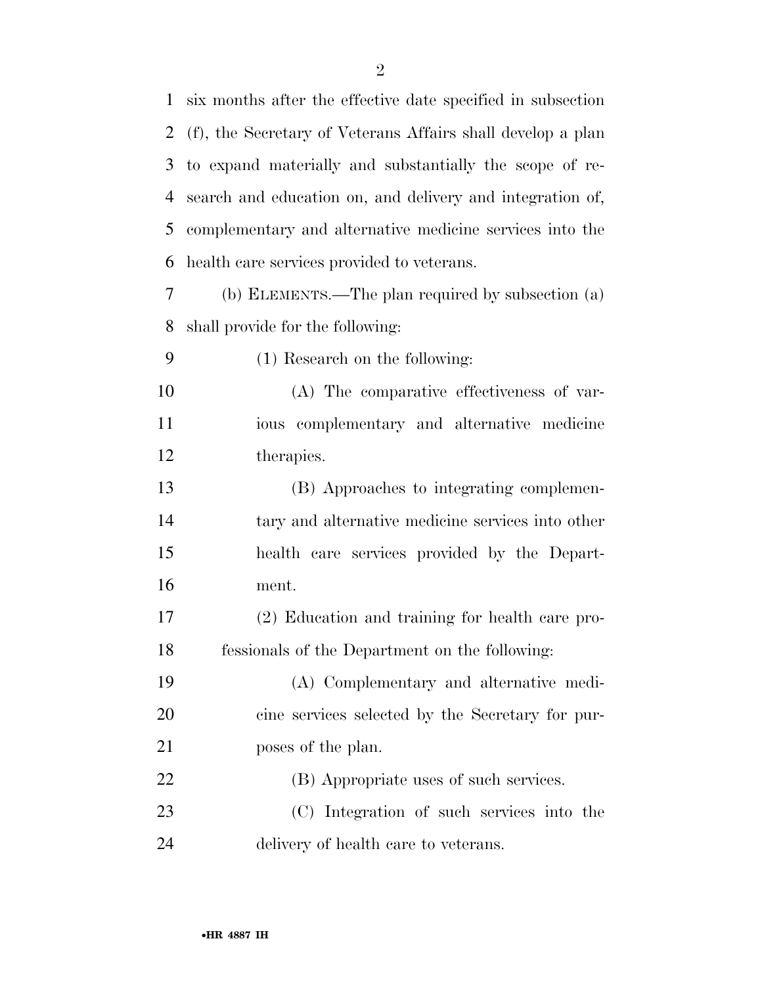six months after the effective date specified in subsection (f), the Secretary of Veterans Affairs shall develop a plan to expand materially and substantially the scope of re- search and education on, and delivery and integration of, complementary and alternative medicine services into the health care services provided to veterans. (b) ELEMENTS.—The plan required by subsection (a) shall provide for the following: (1) Research on the following: (A) The comparative effectiveness of var- ious complementary and alternative medicine therapies. (B) Approaches to integrating complemen- tary and alternative medicine services into other health care services provided by the Depart- ment. (2) Education and training for health care pro- fessionals of the Department on the following: (A) Complementary and alternative medi- cine services selected by the Secretary for pur- poses of the plan. (B) Appropriate uses of such services. (C) Integration of such services into the delivery of health care to veterans.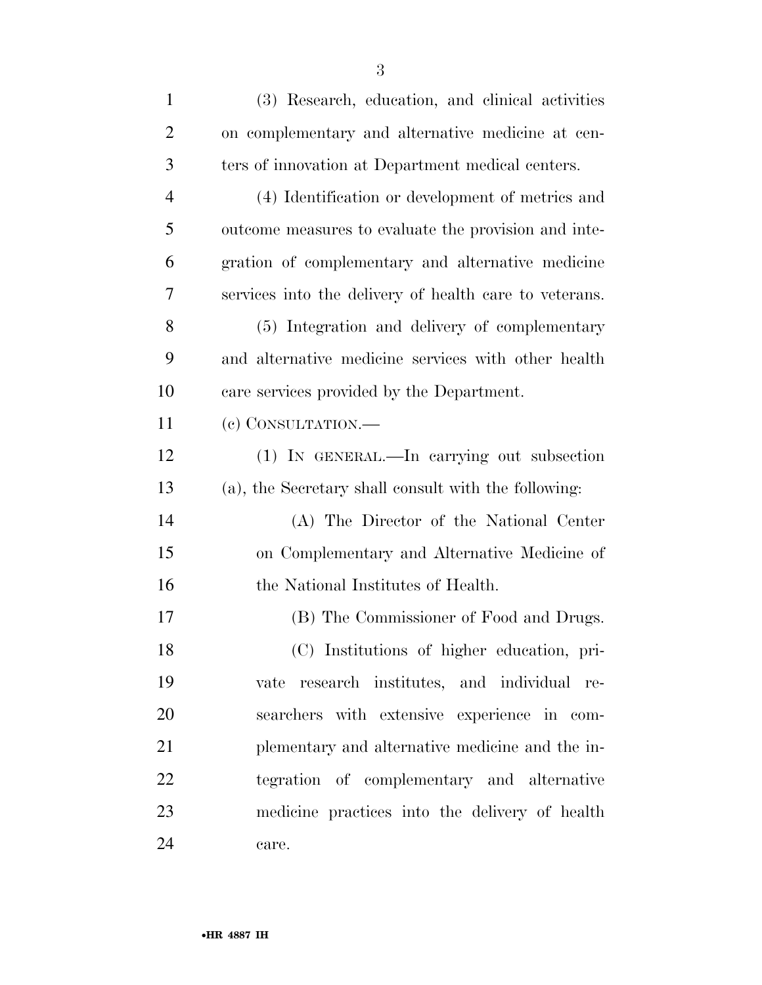| $\mathbf{1}$   | (3) Research, education, and clinical activities       |
|----------------|--------------------------------------------------------|
| $\overline{2}$ | on complementary and alternative medicine at cen-      |
| 3              | ters of innovation at Department medical centers.      |
| $\overline{4}$ | (4) Identification or development of metrics and       |
| 5              | outcome measures to evaluate the provision and inte-   |
| 6              | gration of complementary and alternative medicine      |
| 7              | services into the delivery of health care to veterans. |
| 8              | (5) Integration and delivery of complementary          |
| 9              | and alternative medicine services with other health    |
| 10             | care services provided by the Department.              |
| 11             | (e) CONSULTATION.-                                     |
| 12             | (1) IN GENERAL.—In carrying out subsection             |
| 13             | (a), the Secretary shall consult with the following:   |
| 14             | (A) The Director of the National Center                |
| 15             | on Complementary and Alternative Medicine of           |
| 16             | the National Institutes of Health.                     |
| 17             | (B) The Commissioner of Food and Drugs.                |
| 18             | (C) Institutions of higher education, pri-             |
| 19             | vate research institutes, and individual re-           |
| 20             | searchers with extensive experience in com-            |
| 21             | plementary and alternative medicine and the in-        |
| 22             | tegration of complementary and alternative             |
| 23             | medicine practices into the delivery of health         |
| 24             | care.                                                  |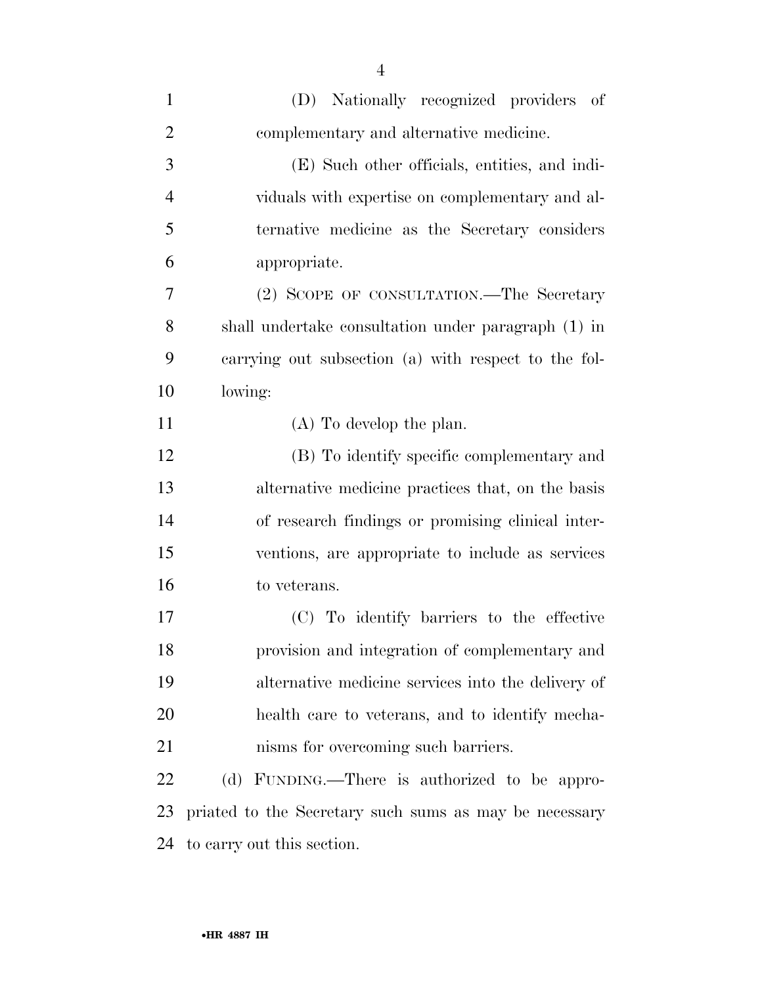| $\mathbf{1}$   | (D) Nationally recognized providers of                 |
|----------------|--------------------------------------------------------|
| $\overline{2}$ | complementary and alternative medicine.                |
| 3              | (E) Such other officials, entities, and indi-          |
| $\overline{4}$ | viduals with expertise on complementary and al-        |
| 5              | ternative medicine as the Secretary considers          |
| 6              | appropriate.                                           |
| 7              | (2) SCOPE OF CONSULTATION.—The Secretary               |
| 8              | shall undertake consultation under paragraph (1) in    |
| 9              | carrying out subsection (a) with respect to the fol-   |
| 10             | lowing:                                                |
| 11             | $(A)$ To develop the plan.                             |
| 12             | (B) To identify specific complementary and             |
| 13             | alternative medicine practices that, on the basis      |
| 14             | of research findings or promising clinical inter-      |
| 15             | ventions, are appropriate to include as services       |
| 16             | to veterans.                                           |
| 17             | (C) To identify barriers to the effective              |
| 18             | provision and integration of complementary and         |
| 19             | alternative medicine services into the delivery of     |
| 20             | health care to veterans, and to identify mecha-        |
| 21             | nisms for overcoming such barriers.                    |
| 22             | (d) FUNDING.—There is authorized to be appro-          |
| 23             | priated to the Secretary such sums as may be necessary |
| 24             | to carry out this section.                             |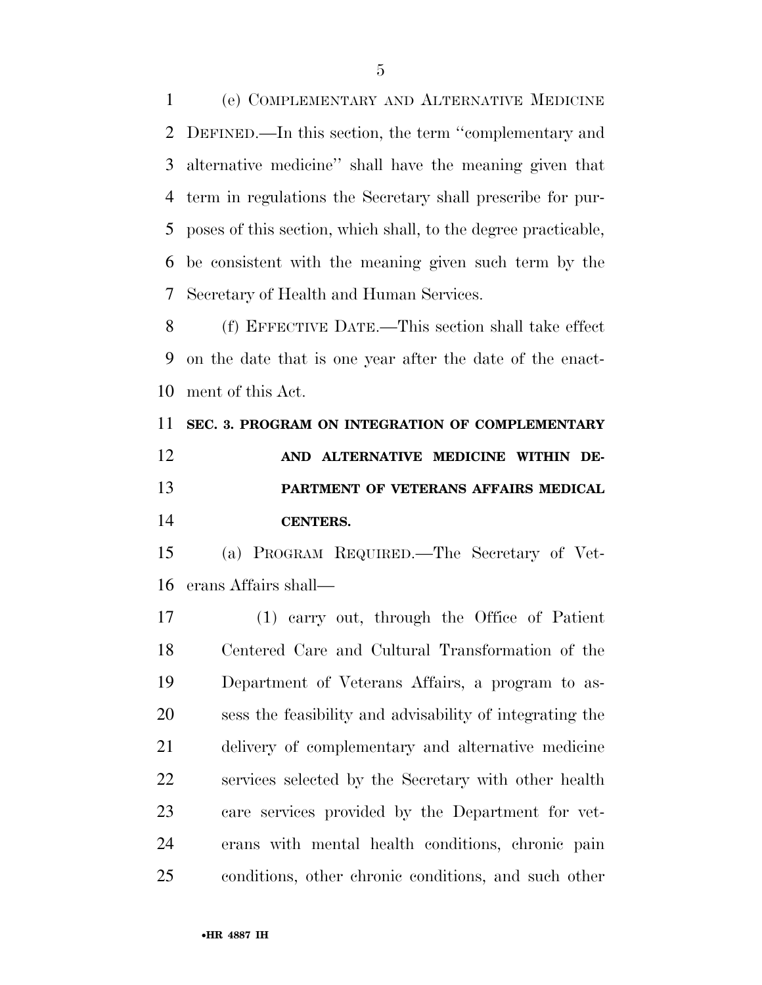(e) COMPLEMENTARY AND ALTERNATIVE MEDICINE DEFINED.—In this section, the term ''complementary and alternative medicine'' shall have the meaning given that term in regulations the Secretary shall prescribe for pur- poses of this section, which shall, to the degree practicable, be consistent with the meaning given such term by the Secretary of Health and Human Services.

 (f) EFFECTIVE DATE.—This section shall take effect on the date that is one year after the date of the enact-ment of this Act.

 **SEC. 3. PROGRAM ON INTEGRATION OF COMPLEMENTARY AND ALTERNATIVE MEDICINE WITHIN DE- PARTMENT OF VETERANS AFFAIRS MEDICAL CENTERS.** 

 (a) PROGRAM REQUIRED.—The Secretary of Vet-erans Affairs shall—

 (1) carry out, through the Office of Patient Centered Care and Cultural Transformation of the Department of Veterans Affairs, a program to as- sess the feasibility and advisability of integrating the delivery of complementary and alternative medicine services selected by the Secretary with other health care services provided by the Department for vet- erans with mental health conditions, chronic pain conditions, other chronic conditions, and such other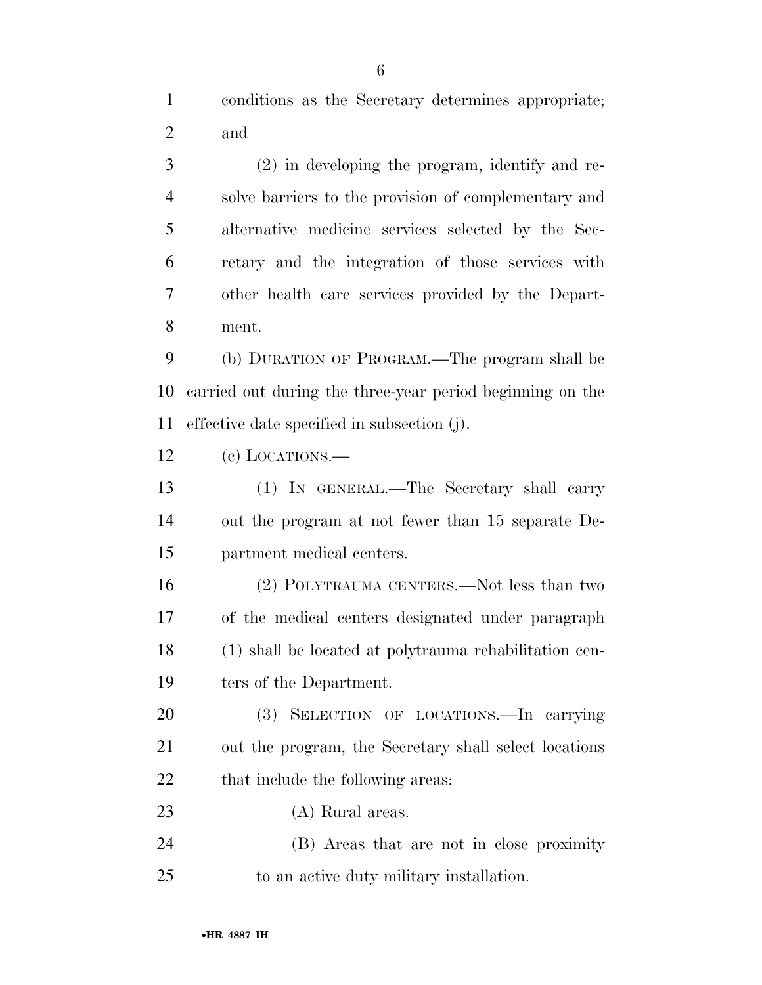conditions as the Secretary determines appropriate; and

 (2) in developing the program, identify and re- solve barriers to the provision of complementary and alternative medicine services selected by the Sec- retary and the integration of those services with other health care services provided by the Depart-ment.

 (b) DURATION OF PROGRAM.—The program shall be carried out during the three-year period beginning on the effective date specified in subsection (j).

(c) LOCATIONS.—

 (1) IN GENERAL.—The Secretary shall carry out the program at not fewer than 15 separate De-partment medical centers.

 (2) POLYTRAUMA CENTERS.—Not less than two of the medical centers designated under paragraph (1) shall be located at polytrauma rehabilitation cen-ters of the Department.

 (3) SELECTION OF LOCATIONS.—In carrying out the program, the Secretary shall select locations 22 that include the following areas:

- (A) Rural areas.
- (B) Areas that are not in close proximity to an active duty military installation.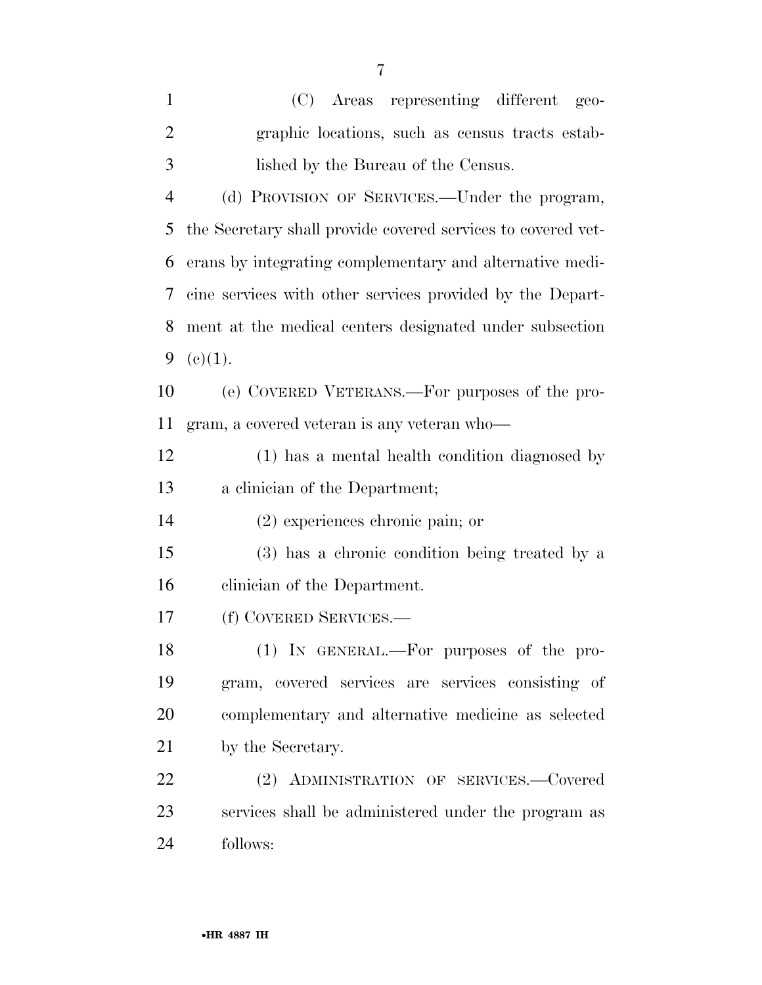| $\mathbf{1}$   | (C) Areas representing different geo-                        |
|----------------|--------------------------------------------------------------|
| $\overline{2}$ | graphic locations, such as census tracts estab-              |
| 3              | lished by the Bureau of the Census.                          |
| $\overline{4}$ | (d) PROVISION OF SERVICES.—Under the program,                |
| 5              | the Secretary shall provide covered services to covered vet- |
| 6              | erans by integrating complementary and alternative medi-     |
| 7              | cine services with other services provided by the Depart-    |
| 8              | ment at the medical centers designated under subsection      |
| 9              | (c)(1).                                                      |
| 10             | (e) COVERED VETERANS.—For purposes of the pro-               |
| 11             | gram, a covered veteran is any veteran who—                  |
| 12             | (1) has a mental health condition diagnosed by               |
| 13             | a clinician of the Department;                               |
| 14             | $(2)$ experiences chronic pain; or                           |
| 15             | (3) has a chronic condition being treated by a               |
| 16             | clinician of the Department.                                 |
| 17             | (f) COVERED SERVICES.—                                       |
| 18             | (1) IN GENERAL.—For purposes of the pro-                     |
| 19             | gram, covered services are services consisting of            |
| 20             | complementary and alternative medicine as selected           |
| 21             | by the Secretary.                                            |
| 22             | (2) ADMINISTRATION OF SERVICES.-Covered                      |
| 23             | services shall be administered under the program as          |
| 24             | follows:                                                     |
|                |                                                              |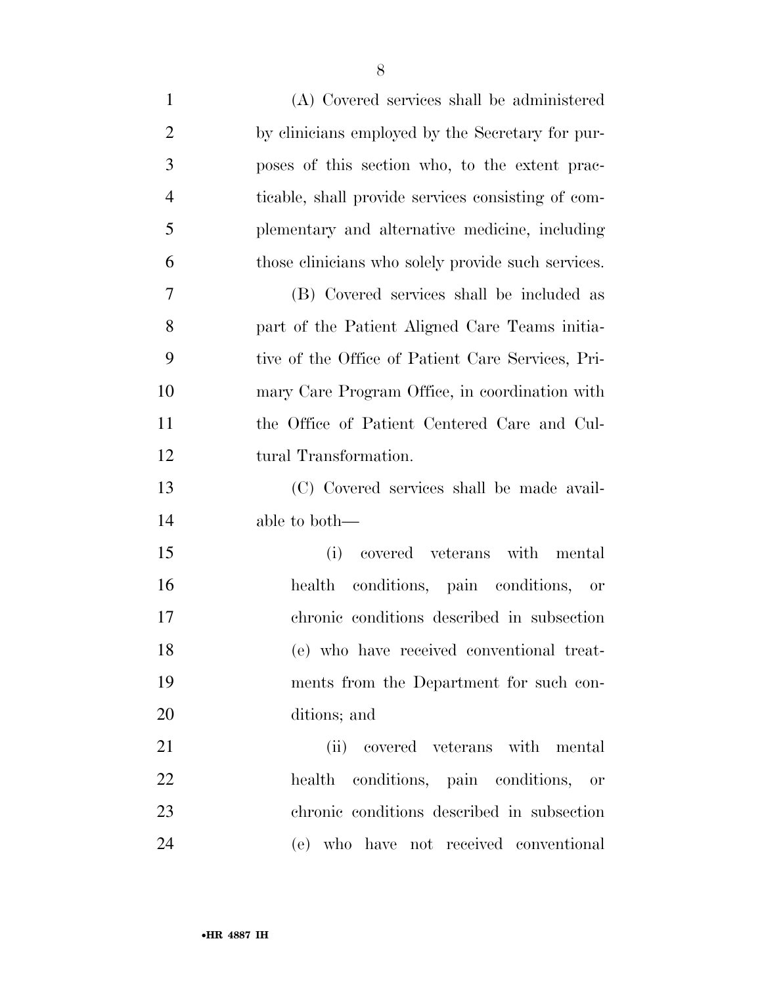| $\mathbf{1}$   | (A) Covered services shall be administered         |
|----------------|----------------------------------------------------|
| $\overline{2}$ | by clinicians employed by the Secretary for pur-   |
| 3              | poses of this section who, to the extent prac-     |
| $\overline{4}$ | ticable, shall provide services consisting of com- |
| 5              | plementary and alternative medicine, including     |
| 6              | those clinicians who solely provide such services. |
| 7              | (B) Covered services shall be included as          |
| 8              | part of the Patient Aligned Care Teams initia-     |
| 9              | tive of the Office of Patient Care Services, Pri-  |
| 10             | mary Care Program Office, in coordination with     |
| 11             | the Office of Patient Centered Care and Cul-       |
| 12             | tural Transformation.                              |
| 13             | (C) Covered services shall be made avail-          |
| 14             | able to both—                                      |
| 15             | covered veterans with mental<br>(i)                |
| 16             | health conditions, pain conditions, or             |
| 17             | chronic conditions described in subsection         |
| 18             | (e) who have received conventional treat-          |
| 19             | ments from the Department for such con-            |
| 20             | ditions; and                                       |
| 21             | covered veterans with mental<br>(ii)               |
| 22             | health conditions, pain conditions, or             |
| 23             | chronic conditions described in subsection         |
| 24             | (e) who have not received conventional             |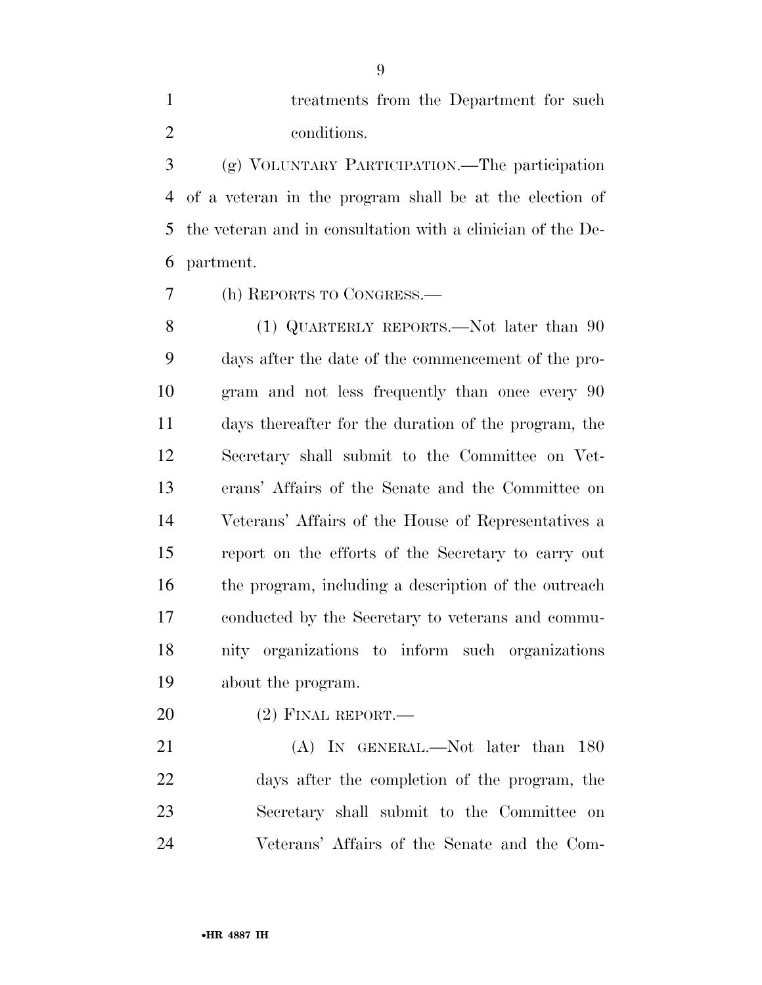treatments from the Department for such conditions.

 (g) VOLUNTARY PARTICIPATION.—The participation of a veteran in the program shall be at the election of the veteran and in consultation with a clinician of the De-partment.

(h) REPORTS TO CONGRESS.—

8 (1) QUARTERLY REPORTS.—Not later than 90 days after the date of the commencement of the pro- gram and not less frequently than once every 90 days thereafter for the duration of the program, the Secretary shall submit to the Committee on Vet- erans' Affairs of the Senate and the Committee on Veterans' Affairs of the House of Representatives a report on the efforts of the Secretary to carry out the program, including a description of the outreach conducted by the Secretary to veterans and commu- nity organizations to inform such organizations about the program.

(2) FINAL REPORT.—

21 (A) In GENERAL.—Not later than 180 days after the completion of the program, the Secretary shall submit to the Committee on Veterans' Affairs of the Senate and the Com-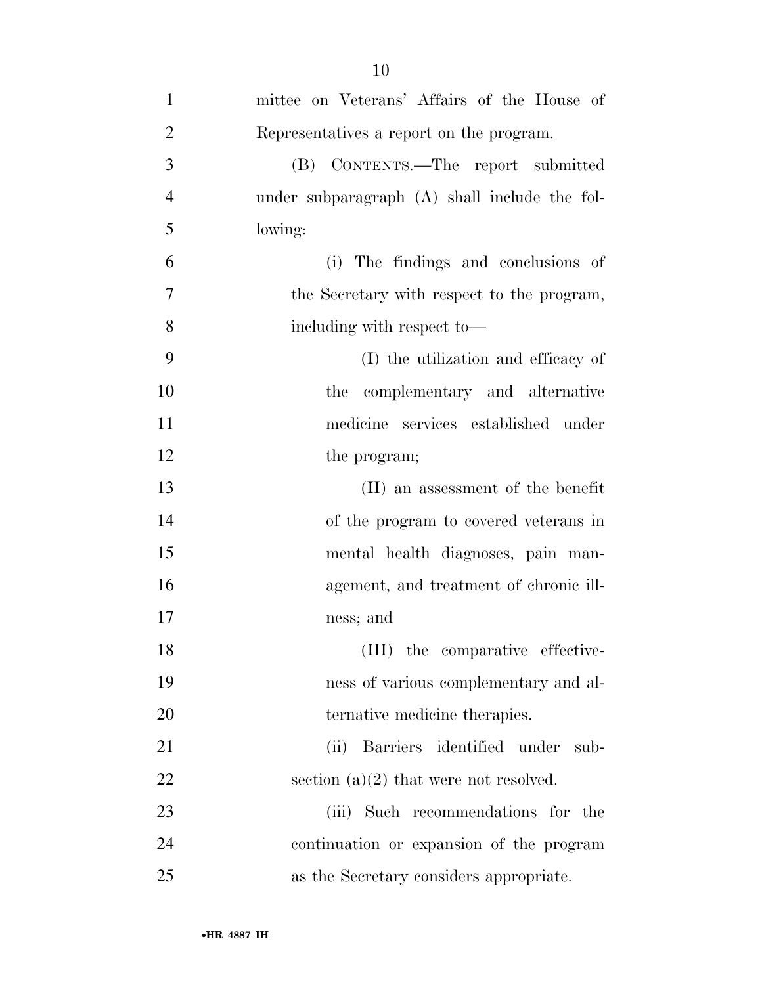| $\mathbf{1}$   | mittee on Veterans' Affairs of the House of   |
|----------------|-----------------------------------------------|
| $\overline{2}$ | Representatives a report on the program.      |
| 3              | (B) CONTENTS.—The report submitted            |
| $\overline{4}$ | under subparagraph (A) shall include the fol- |
| 5              | lowing:                                       |
| 6              | (i) The findings and conclusions of           |
| $\overline{7}$ | the Secretary with respect to the program,    |
| 8              | including with respect to-                    |
| 9              | (I) the utilization and efficacy of           |
| 10             | the complementary and alternative             |
| 11             | medicine services established under           |
| 12             | the program;                                  |
| 13             | (II) an assessment of the benefit             |
| 14             | of the program to covered veterans in         |
| 15             | mental health diagnoses, pain man-            |
| 16             | agement, and treatment of chronic ill-        |
| 17             | ness; and                                     |
| 18             | (III) the comparative effective-              |
| 19             | ness of various complementary and al-         |
| 20             | ternative medicine therapies.                 |
| 21             | (ii) Barriers identified under sub-           |
| 22             | section $(a)(2)$ that were not resolved.      |
| 23             | (iii) Such recommendations for the            |
| 24             | continuation or expansion of the program      |
| 25             | as the Secretary considers appropriate.       |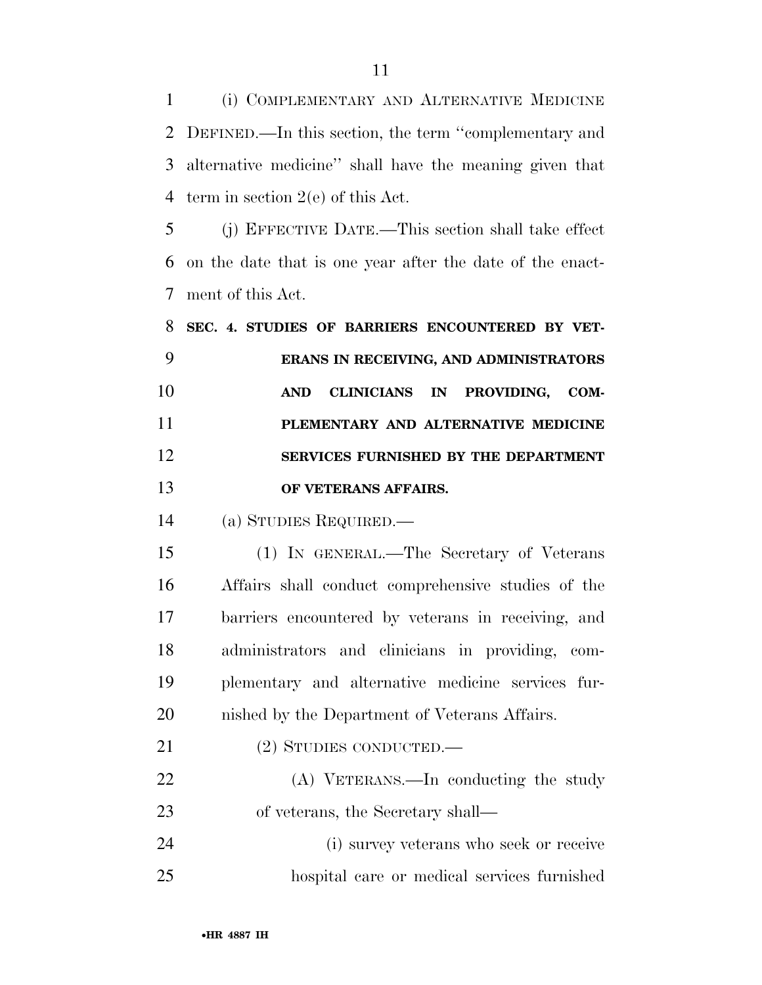(i) COMPLEMENTARY AND ALTERNATIVE MEDICINE DEFINED.—In this section, the term ''complementary and alternative medicine'' shall have the meaning given that term in section 2(e) of this Act.

 (j) EFFECTIVE DATE.—This section shall take effect on the date that is one year after the date of the enact-ment of this Act.

 **SEC. 4. STUDIES OF BARRIERS ENCOUNTERED BY VET- ERANS IN RECEIVING, AND ADMINISTRATORS AND CLINICIANS IN PROVIDING, COM- PLEMENTARY AND ALTERNATIVE MEDICINE SERVICES FURNISHED BY THE DEPARTMENT OF VETERANS AFFAIRS.** 

(a) STUDIES REQUIRED.—

 (1) IN GENERAL.—The Secretary of Veterans Affairs shall conduct comprehensive studies of the barriers encountered by veterans in receiving, and administrators and clinicians in providing, com- plementary and alternative medicine services fur-nished by the Department of Veterans Affairs.

(2) STUDIES CONDUCTED.—

 (A) VETERANS.—In conducting the study 23 of veterans, the Secretary shall—

 (i) survey veterans who seek or receive hospital care or medical services furnished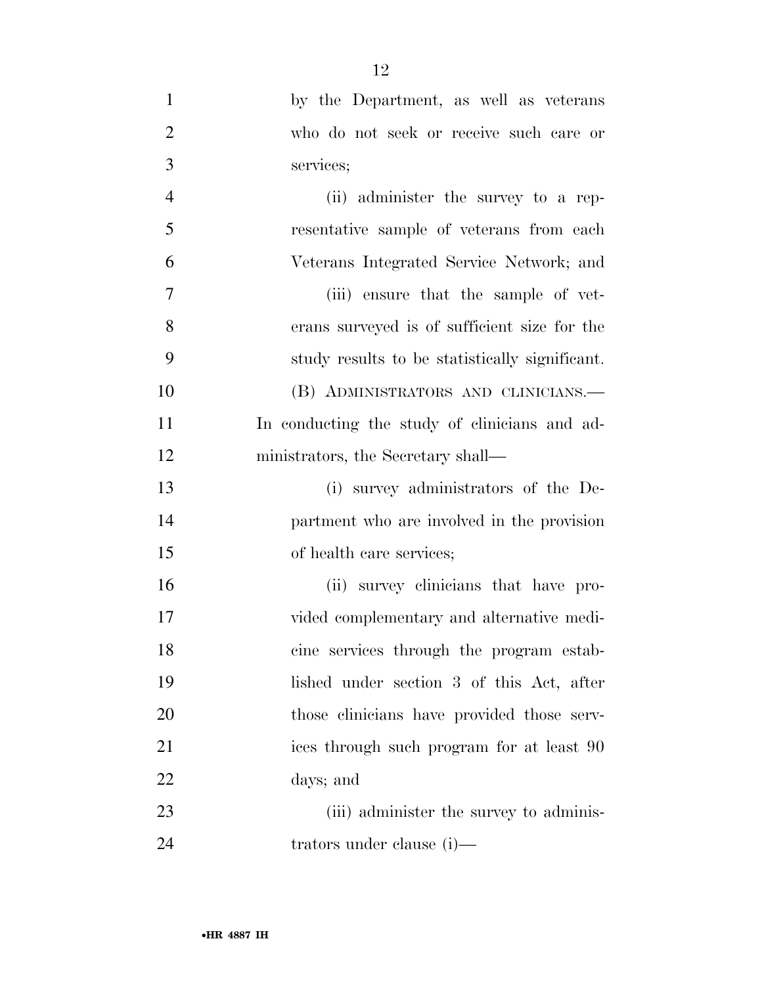| $\mathbf{1}$   | by the Department, as well as veterans         |
|----------------|------------------------------------------------|
| $\overline{2}$ | who do not seek or receive such care or        |
| 3              | services;                                      |
| $\overline{4}$ | (ii) administer the survey to a rep-           |
| 5              | resentative sample of veterans from each       |
| 6              | Veterans Integrated Service Network; and       |
| 7              | (iii) ensure that the sample of vet-           |
| 8              | erans surveyed is of sufficient size for the   |
| 9              | study results to be statistically significant. |
| 10             | (B) ADMINISTRATORS AND CLINICIANS.—            |
| 11             | In conducting the study of clinicians and ad-  |
| 12             | ministrators, the Secretary shall—             |
| 13             | (i) survey administrators of the De-           |
| 14             | partment who are involved in the provision     |
| 15             | of health care services;                       |
| 16             | (ii) survey elinicians that have pro-          |
| 17             | vided complementary and alternative medi-      |
| 18             | cine services through the program estab-       |
| 19             | lished under section 3 of this Act, after      |
| 20             | those clinicians have provided those serv-     |
| 21             | ices through such program for at least 90      |
| 22             | days; and                                      |
| 23             | (iii) administer the survey to adminis-        |
| 24             | trators under clause (i)—                      |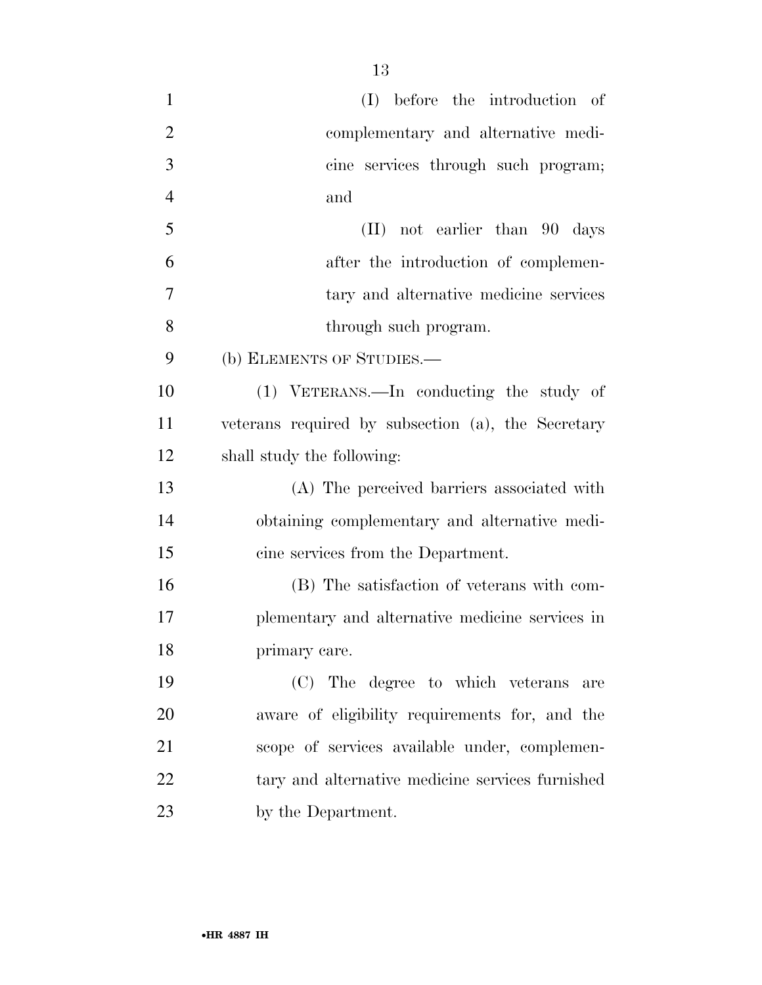| $\mathbf{1}$   | (I) before the introduction of                     |
|----------------|----------------------------------------------------|
| $\overline{2}$ | complementary and alternative medi-                |
| 3              | cine services through such program;                |
| $\overline{4}$ | and                                                |
| 5              | $(II)$ not earlier than 90 days                    |
| 6              | after the introduction of complemen-               |
| 7              | tary and alternative medicine services             |
| 8              | through such program.                              |
| 9              | (b) ELEMENTS OF STUDIES.-                          |
| 10             | (1) VETERANS.—In conducting the study of           |
| 11             | veterans required by subsection (a), the Secretary |
| 12             | shall study the following:                         |
| 13             | (A) The perceived barriers associated with         |
| 14             | obtaining complementary and alternative medi-      |
| 15             | cine services from the Department.                 |
| 16             | (B) The satisfaction of veterans with com-         |
| 17             | plementary and alternative medicine services in    |
| 18             | primary care.                                      |
| 19             | (C) The degree to which veterans are               |
| 20             | aware of eligibility requirements for, and the     |
| 21             | scope of services available under, complemen-      |
| 22             | tary and alternative medicine services furnished   |
| 23             | by the Department.                                 |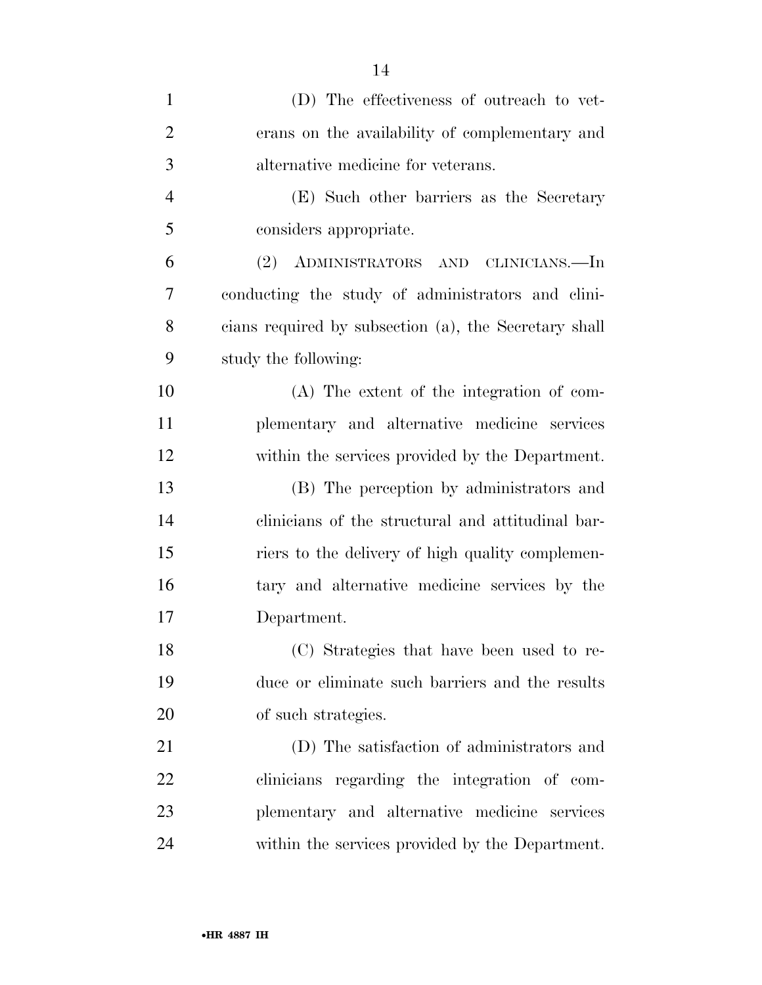| $\mathbf{1}$   | (D) The effectiveness of outreach to vet-             |
|----------------|-------------------------------------------------------|
| $\overline{2}$ | erans on the availability of complementary and        |
| 3              | alternative medicine for veterans.                    |
| $\overline{4}$ | (E) Such other barriers as the Secretary              |
| 5              | considers appropriate.                                |
| 6              | (2) ADMINISTRATORS AND CLINICIANS.—In                 |
| 7              | conducting the study of administrators and clini-     |
| 8              | cians required by subsection (a), the Secretary shall |
| 9              | study the following:                                  |
| 10             | (A) The extent of the integration of com-             |
| 11             | plementary and alternative medicine services          |
| 12             | within the services provided by the Department.       |
| 13             | (B) The perception by administrators and              |
| 14             | clinicians of the structural and attitudinal bar-     |
| 15             | riers to the delivery of high quality complemen-      |
| 16             | tary and alternative medicine services by the         |
| 17             | Department.                                           |
| 18             | (C) Strategies that have been used to re-             |
| 19             | duce or eliminate such barriers and the results       |
| 20             | of such strategies.                                   |
| 21             | (D) The satisfaction of administrators and            |
| 22             | clinicians regarding the integration of com-          |
| 23             | plementary and alternative medicine services          |
| 24             | within the services provided by the Department.       |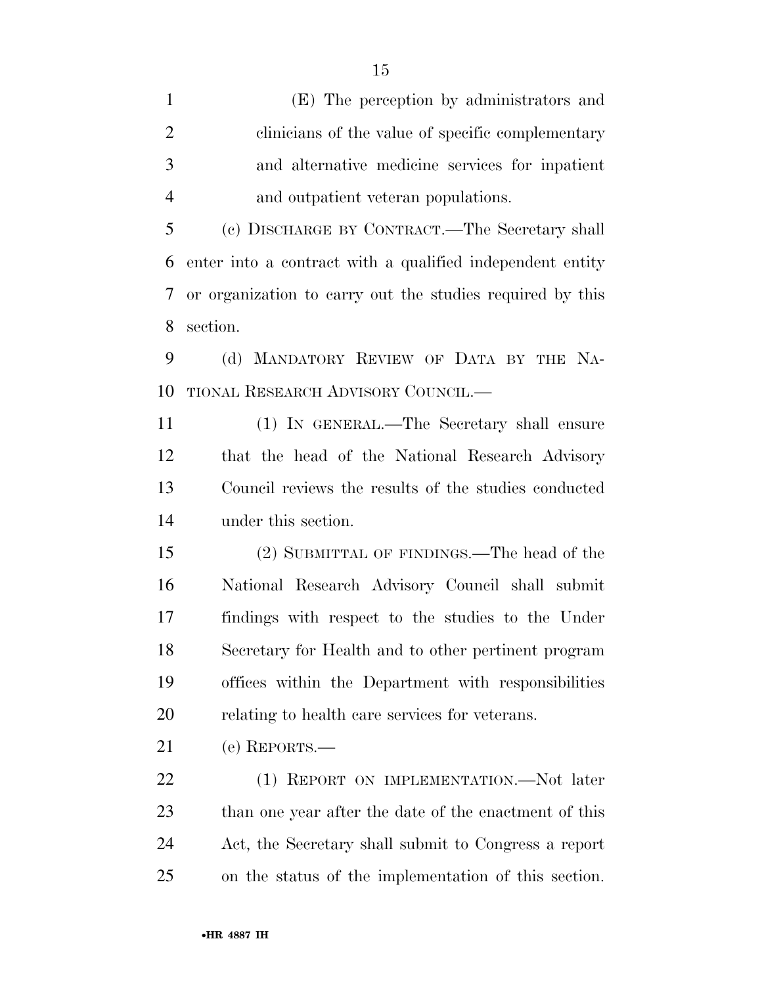(E) The perception by administrators and clinicians of the value of specific complementary and alternative medicine services for inpatient and outpatient veteran populations.

 (c) DISCHARGE BY CONTRACT.—The Secretary shall enter into a contract with a qualified independent entity or organization to carry out the studies required by this section.

 (d) MANDATORY REVIEW OF DATA BY THE NA-TIONAL RESEARCH ADVISORY COUNCIL.—

 (1) IN GENERAL.—The Secretary shall ensure that the head of the National Research Advisory Council reviews the results of the studies conducted under this section.

 (2) SUBMITTAL OF FINDINGS.—The head of the National Research Advisory Council shall submit findings with respect to the studies to the Under Secretary for Health and to other pertinent program offices within the Department with responsibilities relating to health care services for veterans.

(e) REPORTS.—

22 (1) REPORT ON IMPLEMENTATION.—Not later than one year after the date of the enactment of this Act, the Secretary shall submit to Congress a report on the status of the implementation of this section.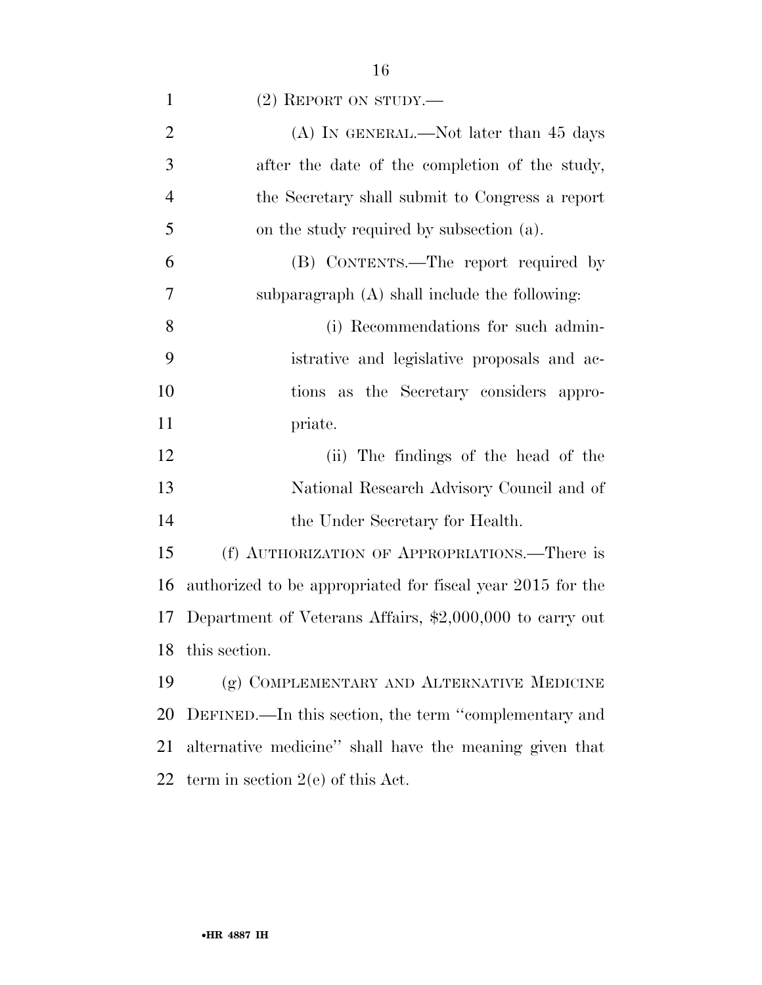| $\mathbf{1}$   | $(2)$ REPORT ON STUDY.—                                           |
|----------------|-------------------------------------------------------------------|
| $\overline{2}$ | $(A)$ In GENERAL.—Not later than 45 days                          |
| 3              | after the date of the completion of the study,                    |
| $\overline{4}$ | the Secretary shall submit to Congress a report                   |
| 5              | on the study required by subsection (a).                          |
| 6              | (B) CONTENTS.—The report required by                              |
| 7              | subparagraph $(A)$ shall include the following:                   |
| 8              | (i) Recommendations for such admin-                               |
| 9              | istrative and legislative proposals and ac-                       |
| 10             | tions as the Secretary considers appro-                           |
| 11             | priate.                                                           |
| 12             | (ii) The findings of the head of the                              |
| 13             | National Research Advisory Council and of                         |
| 14             | the Under Secretary for Health.                                   |
| 15             | (f) AUTHORIZATION OF APPROPRIATIONS.—There is                     |
| 16             | authorized to be appropriated for fiscal year 2015 for the        |
| 17             | Department of Veterans Affairs, $\text{\$2,000,000}$ to carry out |
|                | 18 this section.                                                  |
| 19             | (g) COMPLEMENTARY AND ALTERNATIVE MEDICINE                        |
| 20             | DEFINED.—In this section, the term "complementary and             |
| 21             | alternative medicine" shall have the meaning given that           |
| 22             | term in section $2(e)$ of this Act.                               |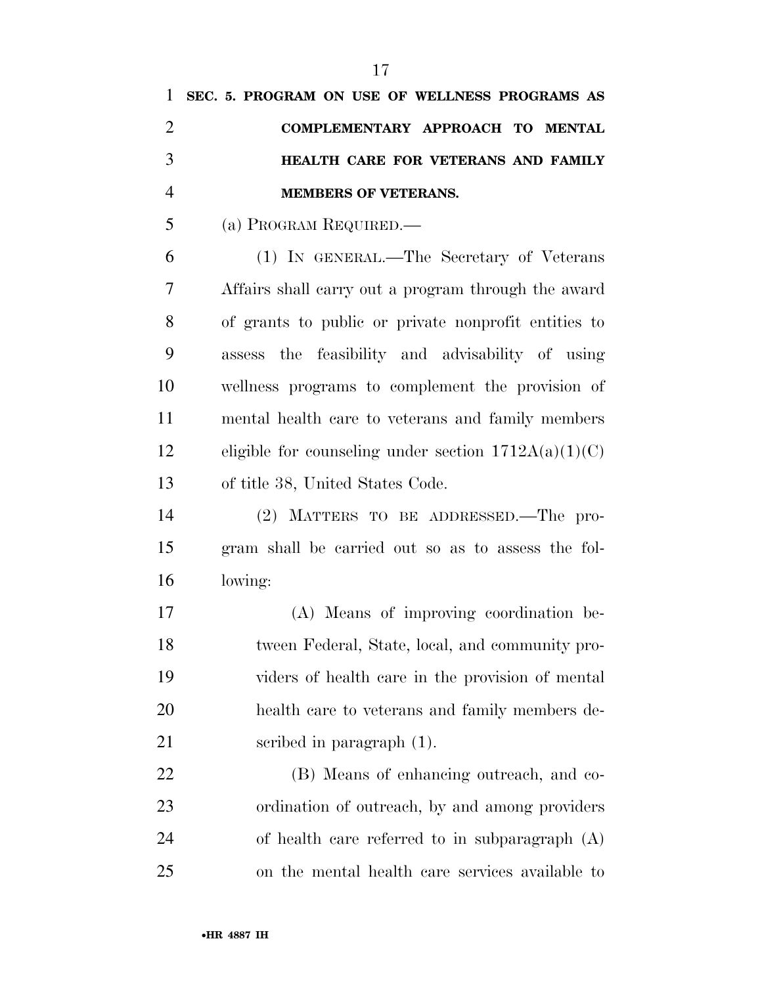|                | SEC. 5. PROGRAM ON USE OF WELLNESS PROGRAMS AS |
|----------------|------------------------------------------------|
| 2              | COMPLEMENTARY APPROACH TO MENTAL               |
| 3              | HEALTH CARE FOR VETERANS AND FAMILY            |
| $\overline{4}$ | <b>MEMBERS OF VETERANS.</b>                    |
| 5              | (a) PROGRAM REQUIRED.—                         |
| 6              | (1) IN GENERAL.—The Secretary of Veterans      |

 Affairs shall carry out a program through the award of grants to public or private nonprofit entities to assess the feasibility and advisability of using wellness programs to complement the provision of mental health care to veterans and family members 12 eligible for counseling under section  $1712A(a)(1)(C)$ of title 38, United States Code.

 (2) MATTERS TO BE ADDRESSED.—The pro- gram shall be carried out so as to assess the fol-lowing:

 (A) Means of improving coordination be- tween Federal, State, local, and community pro- viders of health care in the provision of mental health care to veterans and family members de-scribed in paragraph (1).

 (B) Means of enhancing outreach, and co- ordination of outreach, by and among providers of health care referred to in subparagraph (A) on the mental health care services available to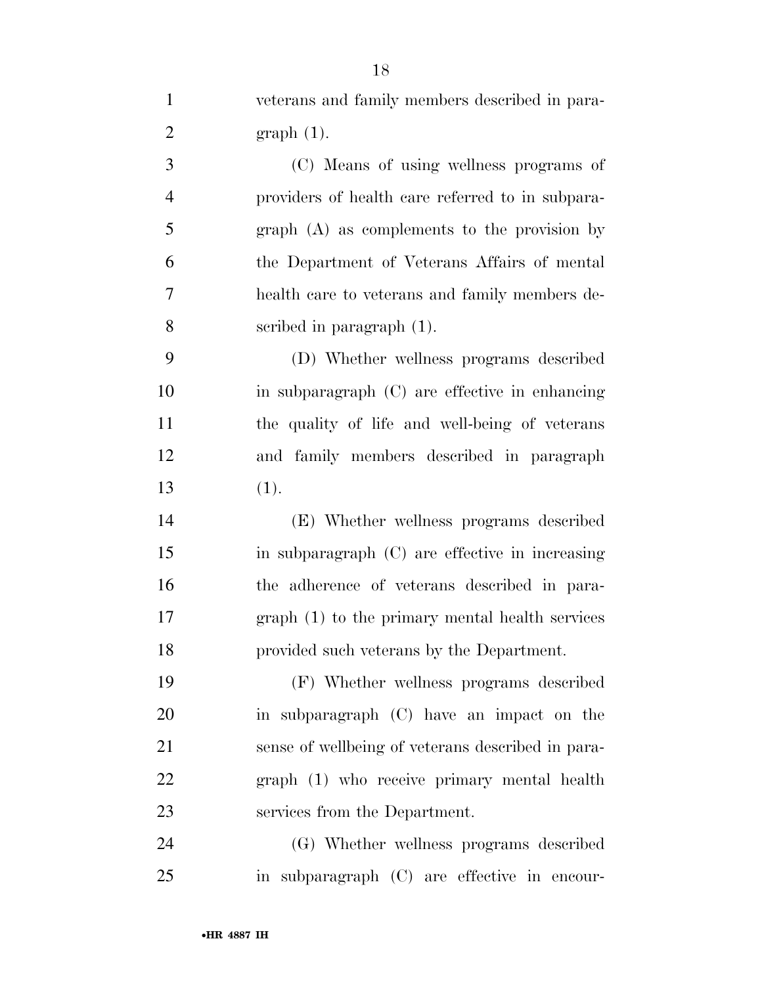veterans and family members described in para-2 graph  $(1)$ .

 (C) Means of using wellness programs of providers of health care referred to in subpara- graph (A) as complements to the provision by the Department of Veterans Affairs of mental health care to veterans and family members de-scribed in paragraph (1).

 (D) Whether wellness programs described in subparagraph (C) are effective in enhancing the quality of life and well-being of veterans and family members described in paragraph (1).

 (E) Whether wellness programs described in subparagraph (C) are effective in increasing the adherence of veterans described in para- graph (1) to the primary mental health services provided such veterans by the Department.

 (F) Whether wellness programs described in subparagraph (C) have an impact on the sense of wellbeing of veterans described in para- graph (1) who receive primary mental health services from the Department.

 (G) Whether wellness programs described in subparagraph (C) are effective in encour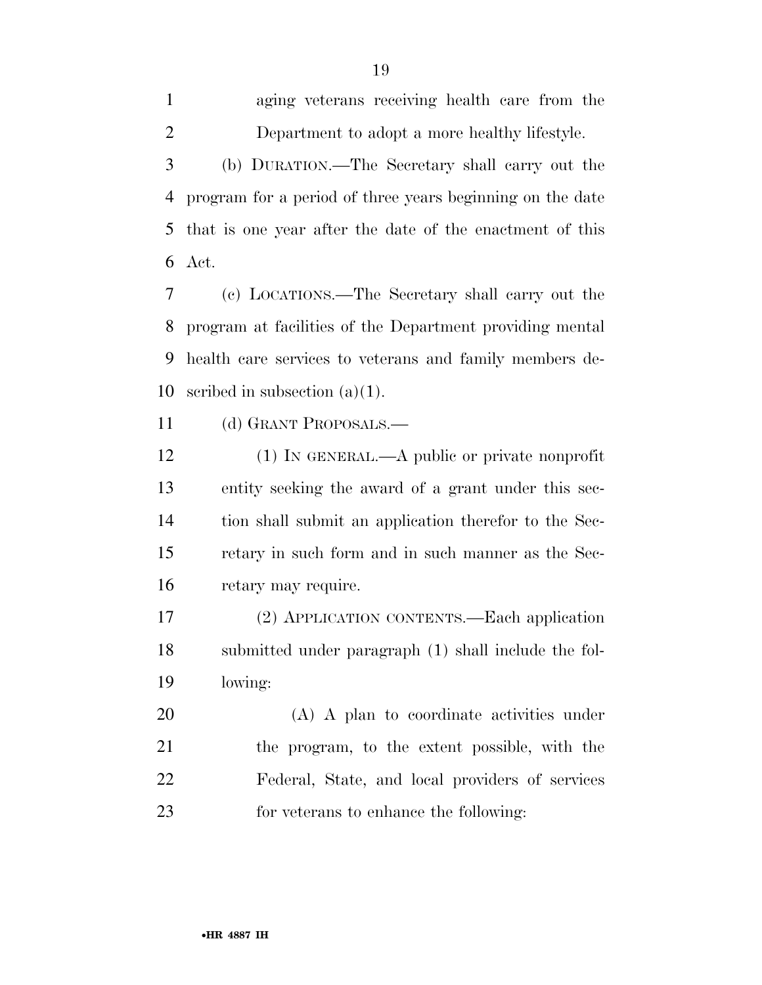aging veterans receiving health care from the Department to adopt a more healthy lifestyle. (b) DURATION.—The Secretary shall carry out the program for a period of three years beginning on the date that is one year after the date of the enactment of this Act.

 (c) LOCATIONS.—The Secretary shall carry out the program at facilities of the Department providing mental health care services to veterans and family members de-scribed in subsection (a)(1).

(d) GRANT PROPOSALS.—

12 (1) IN GENERAL.—A public or private nonprofit entity seeking the award of a grant under this sec- tion shall submit an application therefor to the Sec- retary in such form and in such manner as the Sec-retary may require.

 (2) APPLICATION CONTENTS.—Each application submitted under paragraph (1) shall include the fol-lowing:

 (A) A plan to coordinate activities under the program, to the extent possible, with the Federal, State, and local providers of services for veterans to enhance the following:

•**HR 4887 IH**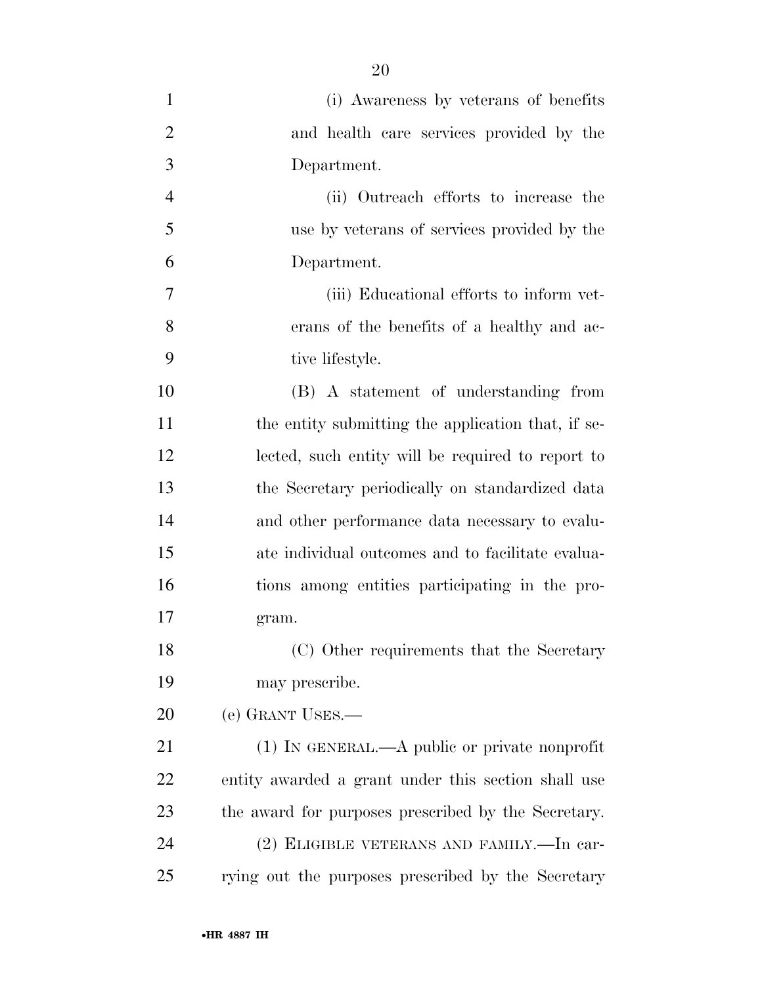| $\mathbf{1}$   | (i) Awareness by veterans of benefits               |
|----------------|-----------------------------------------------------|
| $\overline{2}$ | and health care services provided by the            |
| 3              | Department.                                         |
| $\overline{4}$ | (ii) Outreach efforts to increase the               |
| 5              | use by veterans of services provided by the         |
| 6              | Department.                                         |
| 7              | (iii) Educational efforts to inform vet-            |
| 8              | erans of the benefits of a healthy and ac-          |
| 9              | tive lifestyle.                                     |
| 10             | (B) A statement of understanding from               |
| 11             | the entity submitting the application that, if se-  |
| 12             | lected, such entity will be required to report to   |
| 13             | the Secretary periodically on standardized data     |
| 14             | and other performance data necessary to evalu-      |
| 15             | ate individual outcomes and to facilitate evalua-   |
| 16             | tions among entities participating in the pro-      |
| 17             | gram.                                               |
| 18             | (C) Other requirements that the Secretary           |
| 19             | may prescribe.                                      |
| 20             | (e) GRANT USES.—                                    |
| 21             | $(1)$ In GENERAL.—A public or private nonprofit     |
| 22             | entity awarded a grant under this section shall use |
| 23             | the award for purposes prescribed by the Secretary. |
| 24             | (2) ELIGIBLE VETERANS AND FAMILY.—In car-           |
| 25             | rying out the purposes prescribed by the Secretary  |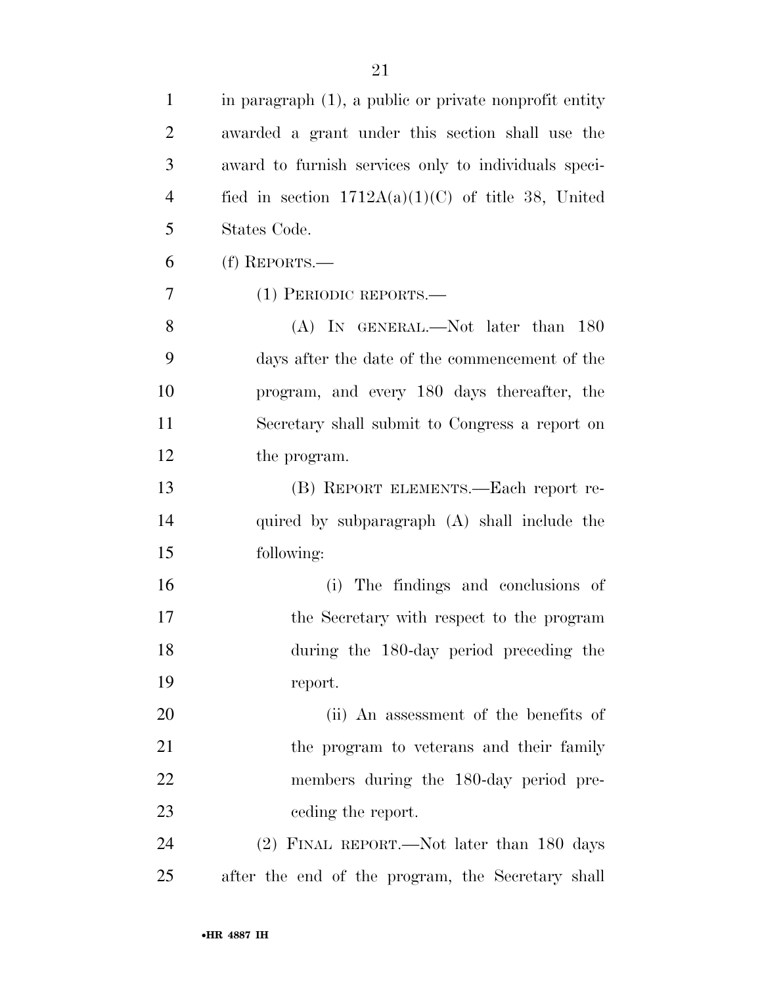| 1              | in paragraph (1), a public or private nonprofit entity |
|----------------|--------------------------------------------------------|
| $\overline{2}$ | awarded a grant under this section shall use the       |
| 3              | award to furnish services only to individuals speci-   |
| $\overline{4}$ | fied in section $1712A(a)(1)(C)$ of title 38, United   |
| 5              | States Code.                                           |
| 6              | (f) REPORTS.—                                          |
| 7              | $(1)$ PERIODIC REPORTS.—                               |
| 8              | $(A)$ In GENERAL.—Not later than 180                   |
| 9              | days after the date of the commencement of the         |
| 10             | program, and every 180 days thereafter, the            |
| 11             | Secretary shall submit to Congress a report on         |
| 12             | the program.                                           |
| 13             | (B) REPORT ELEMENTS.—Each report re-                   |
| 14             | quired by subparagraph (A) shall include the           |
| 15             | following:                                             |
| 16             | (i) The findings and conclusions of                    |
| 17             | the Secretary with respect to the program              |
| 18             | during the 180-day period preceding the                |
| 19             | report.                                                |
| 20             | (ii) An assessment of the benefits of                  |
| 21             | the program to veterans and their family               |
| 22             | members during the 180-day period pre-                 |
| 23             | ceding the report.                                     |
| 24             | (2) FINAL REPORT.—Not later than 180 days              |
| 25             | after the end of the program, the Secretary shall      |